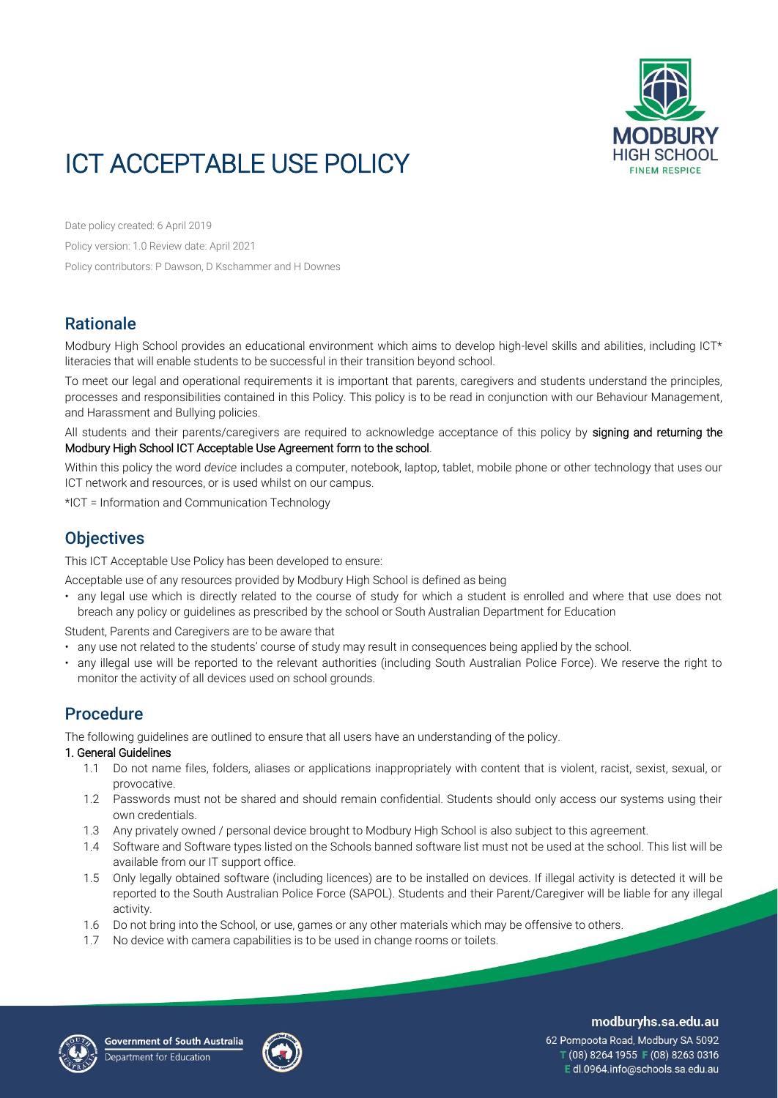

# ICT ACCEPTABLE USE POLICY

Date policy created: 6 April 2019 Policy version: 1.0 Review date: April 2021 Policy contributors: P Dawson, D Kschammer and H Downes

# **Rationale**

Modbury High School provides an educational environment which aims to develop high-level skills and abilities, including ICT\* literacies that will enable students to be successful in their transition beyond school.

To meet our legal and operational requirements it is important that parents, caregivers and students understand the principles, processes and responsibilities contained in this Policy. This policy is to be read in conjunction with our Behaviour Management, and Harassment and Bullying policies.

All students and their parents/caregivers are required to acknowledge acceptance of this policy by signing and returning the Modbury High School ICT Acceptable Use Agreement form to the school.

Within this policy the word *device* includes a computer, notebook, laptop, tablet, mobile phone or other technology that uses our ICT network and resources, or is used whilst on our campus.

\*ICT = Information and Communication Technology

## **Objectives**

This ICT Acceptable Use Policy has been developed to ensure:

Acceptable use of any resources provided by Modbury High School is defined as being

• any legal use which is directly related to the course of study for which a student is enrolled and where that use does not breach any policy or guidelines as prescribed by the school or South Australian Department for Education

Student, Parents and Caregivers are to be aware that

- any use not related to the students' course of study may result in consequences being applied by the school.
- any illegal use will be reported to the relevant authorities (including South Australian Police Force). We reserve the right to monitor the activity of all devices used on school grounds.

# **Procedure**

The following guidelines are outlined to ensure that all users have an understanding of the policy.

#### 1. General Guidelines

- 1.1 Do not name files, folders, aliases or applications inappropriately with content that is violent, racist, sexist, sexual, or provocative.
- 1.2 Passwords must not be shared and should remain confidential. Students should only access our systems using their own credentials.
- 1.3 Any privately owned / personal device brought to Modbury High School is also subject to this agreement.
- 1.4 Software and Software types listed on the Schools banned software list must not be used at the school. This list will be available from our IT support office.
- 1.5 Only legally obtained software (including licences) are to be installed on devices. If illegal activity is detected it will be reported to the South Australian Police Force (SAPOL). Students and their Parent/Caregiver will be liable for any illegal activity.
- 1.6 Do not bring into the School, or use, games or any other materials which may be offensive to others.
- 1.7 No device with camera capabilities is to be used in change rooms or toilets.





modburyhs.sa.edu.au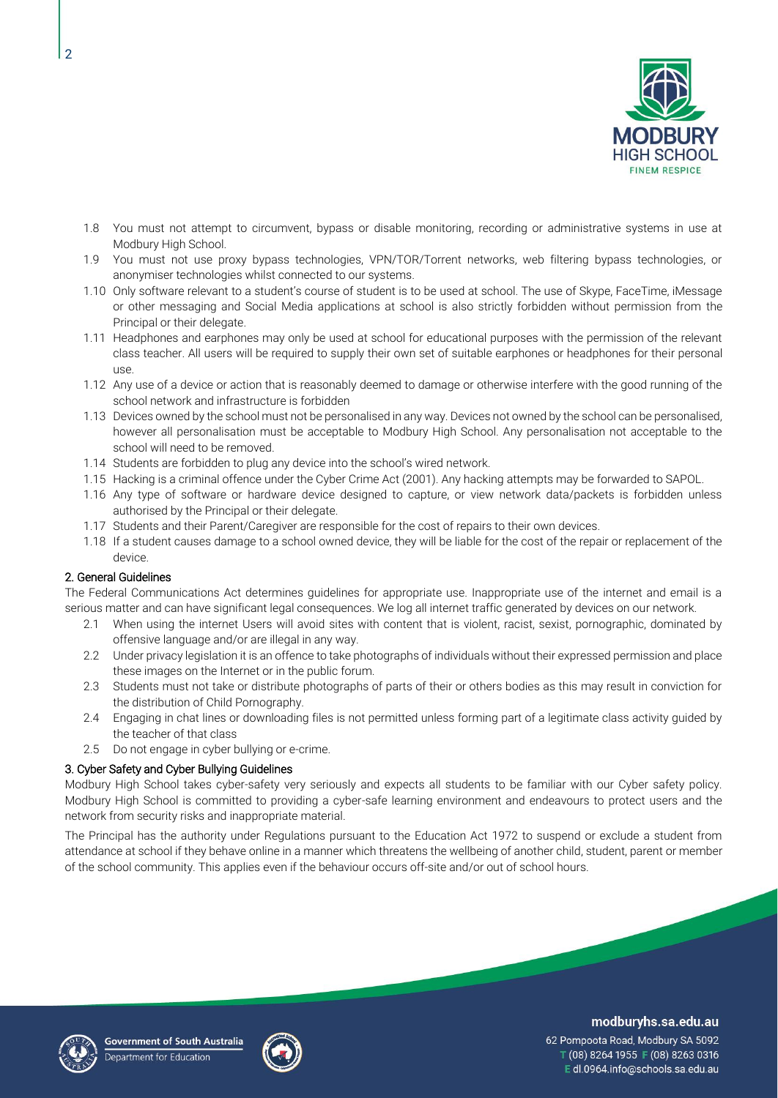

- 1.8 You must not attempt to circumvent, bypass or disable monitoring, recording or administrative systems in use at Modbury High School.
- 1.9 You must not use proxy bypass technologies, VPN/TOR/Torrent networks, web filtering bypass technologies, or anonymiser technologies whilst connected to our systems.
- 1.10 Only software relevant to a student's course of student is to be used at school. The use of Skype, FaceTime, iMessage or other messaging and Social Media applications at school is also strictly forbidden without permission from the Principal or their delegate.
- 1.11 Headphones and earphones may only be used at school for educational purposes with the permission of the relevant class teacher. All users will be required to supply their own set of suitable earphones or headphones for their personal use.
- 1.12 Any use of a device or action that is reasonably deemed to damage or otherwise interfere with the good running of the school network and infrastructure is forbidden
- 1.13 Devices owned by the school must not be personalised in any way. Devices not owned by the school can be personalised, however all personalisation must be acceptable to Modbury High School. Any personalisation not acceptable to the school will need to be removed.
- 1.14 Students are forbidden to plug any device into the school's wired network.
- 1.15 Hacking is a criminal offence under the Cyber Crime Act (2001). Any hacking attempts may be forwarded to SAPOL.
- 1.16 Any type of software or hardware device designed to capture, or view network data/packets is forbidden unless authorised by the Principal or their delegate.
- 1.17 Students and their Parent/Caregiver are responsible for the cost of repairs to their own devices.
- 1.18 If a student causes damage to a school owned device, they will be liable for the cost of the repair or replacement of the device.

#### 2. General Guidelines

The Federal Communications Act determines guidelines for appropriate use. Inappropriate use of the internet and email is a serious matter and can have significant legal consequences. We log all internet traffic generated by devices on our network.

- 2.1 When using the internet Users will avoid sites with content that is violent, racist, sexist, pornographic, dominated by offensive language and/or are illegal in any way.
- 2.2 Under privacy legislation it is an offence to take photographs of individuals without their expressed permission and place these images on the Internet or in the public forum.
- 2.3 Students must not take or distribute photographs of parts of their or others bodies as this may result in conviction for the distribution of Child Pornography.
- 2.4 Engaging in chat lines or downloading files is not permitted unless forming part of a legitimate class activity guided by the teacher of that class
- 2.5 Do not engage in cyber bullying or e-crime.

#### 3. Cyber Safety and Cyber Bullying Guidelines

Modbury High School takes cyber-safety very seriously and expects all students to be familiar with our Cyber safety policy. Modbury High School is committed to providing a cyber-safe learning environment and endeavours to protect users and the network from security risks and inappropriate material.

The Principal has the authority under Regulations pursuant to the Education Act 1972 to suspend or exclude a student from attendance at school if they behave online in a manner which threatens the wellbeing of another child, student, parent or member of the school community. This applies even if the behaviour occurs off-site and/or out of school hours.





modburyhs.sa.edu.au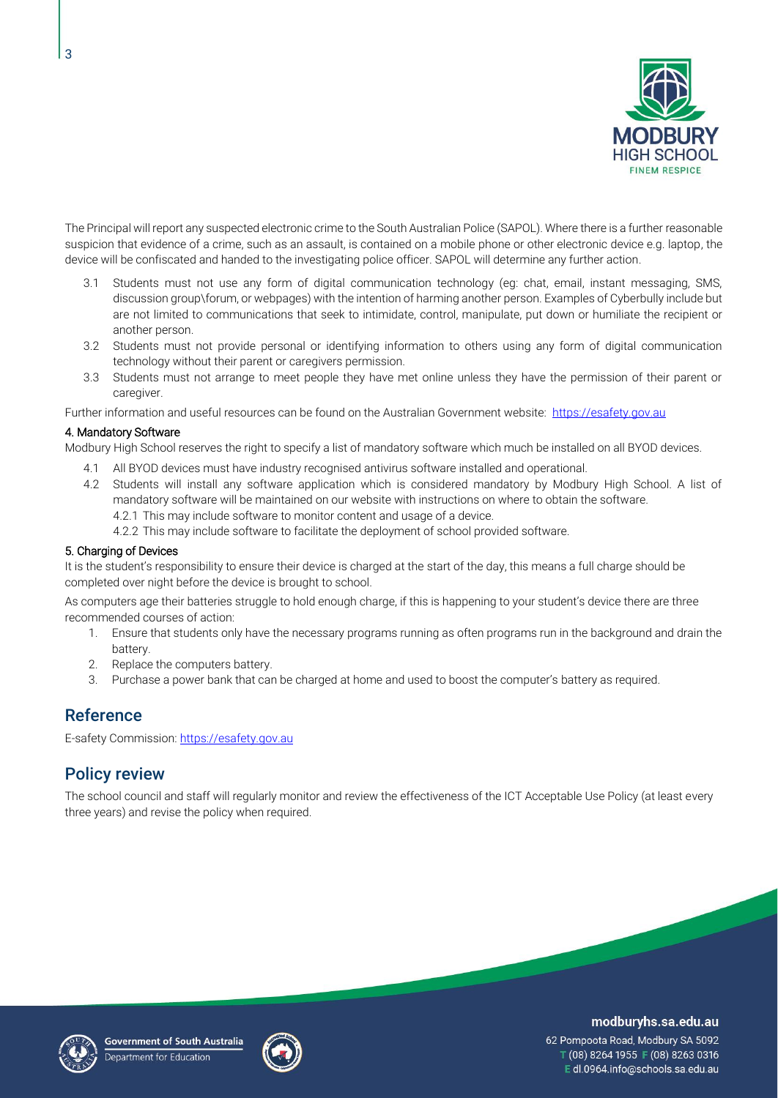

The Principal will report any suspected electronic crime to the South Australian Police (SAPOL). Where there is a further reasonable suspicion that evidence of a crime, such as an assault, is contained on a mobile phone or other electronic device e.g. laptop, the device will be confiscated and handed to the investigating police officer. SAPOL will determine any further action.

- 3.1 Students must not use any form of digital communication technology (eg: chat, email, instant messaging, SMS, discussion group\forum, or webpages) with the intention of harming another person. Examples of Cyberbully include but are not limited to communications that seek to intimidate, control, manipulate, put down or humiliate the recipient or another person.
- 3.2 Students must not provide personal or identifying information to others using any form of digital communication technology without their parent or caregivers permission.
- 3.3 Students must not arrange to meet people they have met online unless they have the permission of their parent or caregiver.

Further information and useful resources can be found on the Australian Government website: [https://esafety.gov.au](https://esafety.gov.au/)

#### 4. Mandatory Software

Modbury High School reserves the right to specify a list of mandatory software which much be installed on all BYOD devices.

- 4.1 All BYOD devices must have industry recognised antivirus software installed and operational.
- 4.2 Students will install any software application which is considered mandatory by Modbury High School. A list of mandatory software will be maintained on our website with instructions on where to obtain the software. 4.2.1 This may include software to monitor content and usage of a device.
	- 4.2.2 This may include software to facilitate the deployment of school provided software.

#### 5. Charging of Devices

It is the student's responsibility to ensure their device is charged at the start of the day, this means a full charge should be completed over night before the device is brought to school.

As computers age their batteries struggle to hold enough charge, if this is happening to your student's device there are three recommended courses of action:

- 1. Ensure that students only have the necessary programs running as often programs run in the background and drain the battery.
- 2. Replace the computers battery.
- 3. Purchase a power bank that can be charged at home and used to boost the computer's battery as required.

### Reference

E-safety Commission: [https://esafety.gov.au](https://esafety.gov.au/)

## Policy review

The school council and staff will regularly monitor and review the effectiveness of the ICT Acceptable Use Policy (at least every three years) and revise the policy when required.





#### modburyhs.sa.edu.au